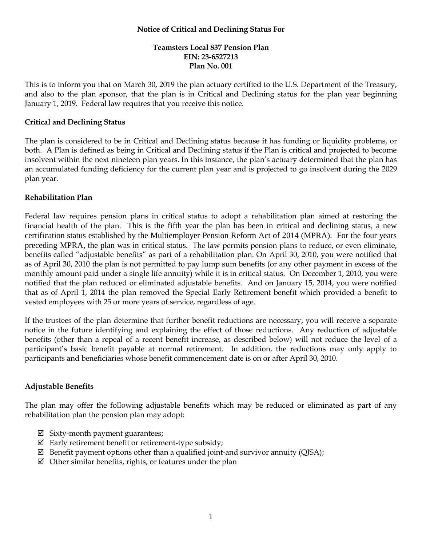### **Notice of Critical and Declining Status For**

# **Teamsters Local 837 Pension Plan EIN: 23-6527213 Plan No. 001**

This is to inform you that on March 30, 2019 the plan actuary certified to the U.S. Department of the Treasury, and also to the plan sponsor, that the plan is in Critical and Declining status for the plan year beginning January 1, 2019. Federal law requires that you receive this notice.

## **Critical and Declining Status**

The plan is considered to be in Critical and Declining status because it has funding or liquidity problems, or both. A Plan is defined as being in Critical and Declining status if the Plan is critical and projected to become insolvent within the next nineteen plan years. In this instance, the plan's actuary determined that the plan has an accumulated funding deficiency for the current plan year and is projected to go insolvent during the 2029 plan year.

## **Rehabilitation Plan**

Federal law requires pension plans in critical status to adopt a rehabilitation plan aimed at restoring the financial health of the plan. This is the fifth year the plan has been in critical and declining status, a new certification status established by the Multiemployer Pension Reform Act of 2014 (MPRA). For the four years preceding MPRA, the plan was in critical status. The law permits pension plans to reduce, or even eliminate, benefits called "adjustable benefits" as part of a rehabilitation plan. On April 30, 2010, you were notified that as of April 30, 2010 the plan is not permitted to pay lump sum benefits (or any other payment in excess of the monthly amount paid under a single life annuity) while it is in critical status. On December 1, 2010, you were notified that the plan reduced or eliminated adjustable benefits. And on January 15, 2014, you were notified that as of April 1, 2014 the plan removed the Special Early Retirement benefit which provided a benefit to vested employees with 25 or more years of service, regardless of age.

If the trustees of the plan determine that further benefit reductions are necessary, you will receive a separate notice in the future identifying and explaining the effect of those reductions. Any reduction of adjustable benefits (other than a repeal of a recent benefit increase, as described below) will not reduce the level of a participant's basic benefit payable at normal retirement. In addition, the reductions may only apply to participants and beneficiaries whose benefit commencement date is on or after April 30, 2010.

## **Adjustable Benefits**

The plan may offer the following adjustable benefits which may be reduced or eliminated as part of any rehabilitation plan the pension plan may adopt:

- $\boxtimes$  Sixty-month payment guarantees;
- $\boxtimes$  Early retirement benefit or retirement-type subsidy;
- $\boxtimes$  Benefit payment options other than a qualified joint-and survivor annuity (OJSA);
- $\boxtimes$  Other similar benefits, rights, or features under the plan